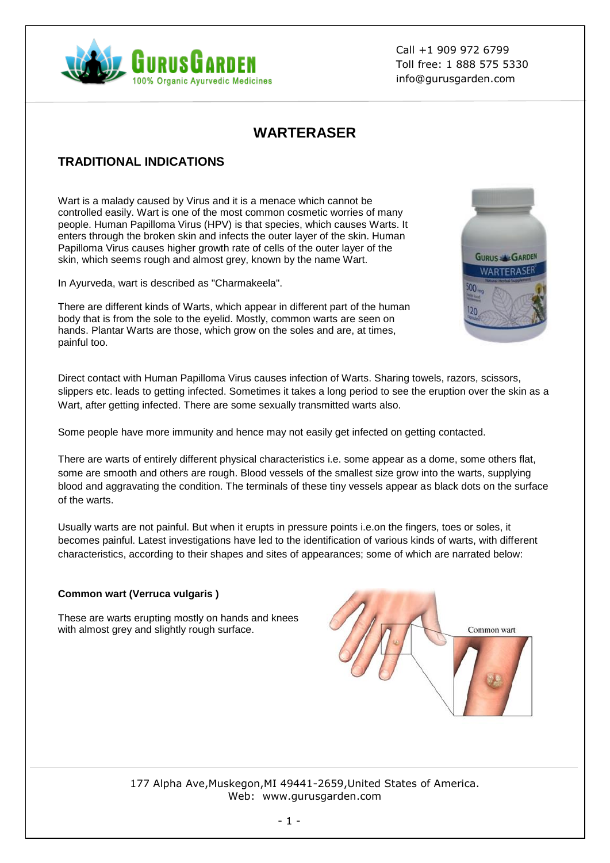

Call +1 909 972 6799 Toll free: 1 888 575 5330 info@gurusgarden.com

# **WARTERASER**

# **TRADITIONAL INDICATIONS**

Wart is a malady caused by Virus and it is a menace which cannot be controlled easily. Wart is one of the most common cosmetic worries of many people. Human Papilloma Virus (HPV) is that species, which causes Warts. It enters through the broken skin and infects the outer layer of the skin. Human Papilloma Virus causes higher growth rate of cells of the outer layer of the skin, which seems rough and almost grey, known by the name Wart.

In Ayurveda, wart is described as "Charmakeela".

There are different kinds of Warts, which appear in different part of the human body that is from the sole to the eyelid. Mostly, common warts are seen on hands. Plantar Warts are those, which grow on the soles and are, at times, painful too.



Direct contact with Human Papilloma Virus causes infection of Warts. Sharing towels, razors, scissors, slippers etc. leads to getting infected. Sometimes it takes a long period to see the eruption over the skin as a Wart, after getting infected. There are some sexually transmitted warts also.

Some people have more immunity and hence may not easily get infected on getting contacted.

There are warts of entirely different physical characteristics i.e. some appear as a dome, some others flat, some are smooth and others are rough. Blood vessels of the smallest size grow into the warts, supplying blood and aggravating the condition. The terminals of these tiny vessels appear as black dots on the surface of the warts.

Usually warts are not painful. But when it erupts in pressure points i.e.on the fingers, toes or soles, it becomes painful. Latest investigations have led to the identification of various kinds of warts, with different characteristics, according to their shapes and sites of appearances; some of which are narrated below:

#### **Common wart (Verruca vulgaris )**

These are warts erupting mostly on hands and knees with almost grey and slightly rough surface.



177 Alpha Ave,Muskegon,MI 49441-2659,United States of America. Web: www.gurusgarden.com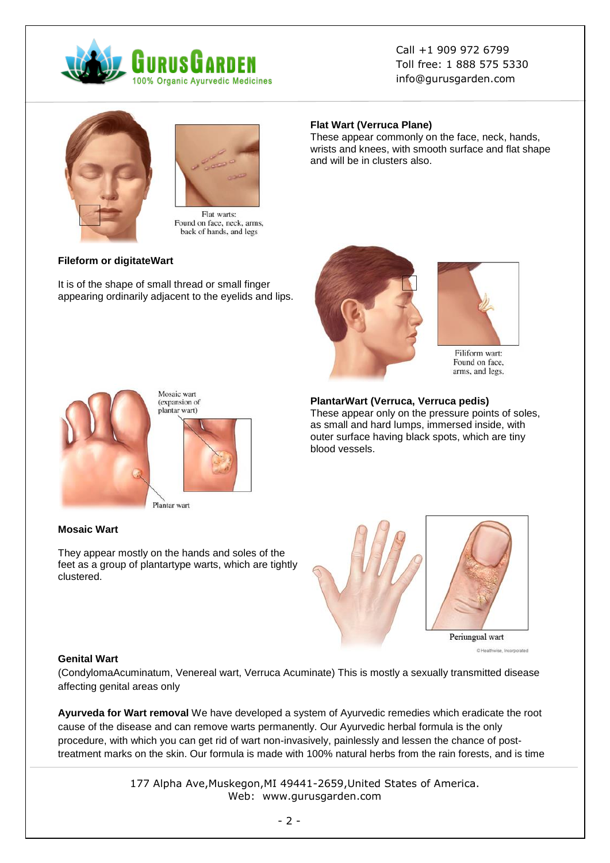

Call +1 909 972 6799 Toll free: 1 888 575 5330 info@gurusgarden.com



Flat warts: Found on face, neck, arms, back of hands, and legs

#### **Fileform or digitateWart**

It is of the shape of small thread or small finger appearing ordinarily adjacent to the eyelids and lips.

#### **Flat Wart (Verruca Plane)**

These appear commonly on the face, neck, hands, wrists and knees, with smooth surface and flat shape and will be in clusters also.





Filiform wart: Found on face, arms, and legs.



Mosaic wart (expansion of plantar wart)



Plantar wart

#### **Mosaic Wart**

They appear mostly on the hands and soles of the feet as a group of plantartype warts, which are tightly clustered.





C Healthwise, Incorporated

#### **Genital Wart**

(CondylomaAcuminatum, Venereal wart, Verruca Acuminate) This is mostly a sexually transmitted disease affecting genital areas only

**Ayurveda for Wart removal** We have developed a system of Ayurvedic remedies which eradicate the root cause of the disease and can remove warts permanently. Our Ayurvedic herbal formula is the only procedure, with which you can get rid of wart non-invasively, painlessly and lessen the chance of posttreatment marks on the skin. Our formula is made with 100% natural herbs from the rain forests, and is time

> 177 Alpha Ave,Muskegon,MI 49441-2659,United States of America. Web: www.gurusgarden.com